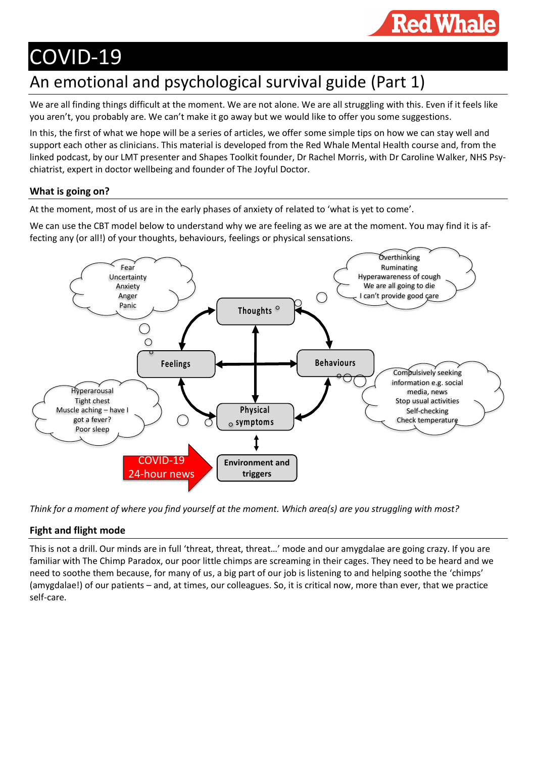

# COVID-19

# An emotional and psychological survival guide (Part 1)

We are all finding things difficult at the moment. We are not alone. We are all struggling with this. Even if it feels like you aren't, you probably are. We can't make it go away but we would like to offer you some suggestions.

In this, the first of what we hope will be a series of articles, we offer some simple tips on how we can stay well and support each other as clinicians. This material is developed from the Red Whale Mental Health course and, from the linked podcast, by our LMT presenter and Shapes Toolkit founder, Dr Rachel Morris, with Dr Caroline Walker, NHS Psychiatrist, expert in doctor wellbeing and founder of The Joyful Doctor.

### **What is going on?**

At the moment, most of us are in the early phases of anxiety of related to 'what is yet to come'.

We can use the CBT model below to understand why we are feeling as we are at the moment. You may find it is affecting any (or all!) of your thoughts, behaviours, feelings or physical sensations.



*Think for a moment of where you find yourself at the moment. Which area(s) are you struggling with most?*

## **Fight and flight mode**

This is not a drill. Our minds are in full 'threat, threat, threat…' mode and our amygdalae are going crazy. If you are familiar with The Chimp Paradox, our poor little chimps are screaming in their cages. They need to be heard and we need to soothe them because, for many of us, a big part of our job is listening to and helping soothe the 'chimps' (amygdalae!) of our patients – and, at times, our colleagues. So, it is critical now, more than ever, that we practice self-care.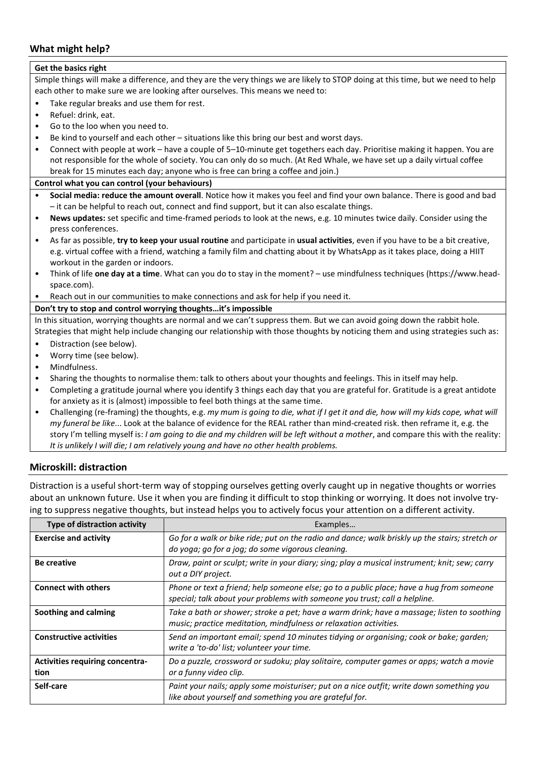#### **What might help?**

| Get the basics right                                                                                                             |                                                                                                                                  |  |  |  |
|----------------------------------------------------------------------------------------------------------------------------------|----------------------------------------------------------------------------------------------------------------------------------|--|--|--|
| Simple things will make a difference, and they are the very things we are likely to STOP doing at this time, but we need to help |                                                                                                                                  |  |  |  |
| each other to make sure we are looking after ourselves. This means we need to:                                                   |                                                                                                                                  |  |  |  |
| $\bullet$                                                                                                                        | Take regular breaks and use them for rest.                                                                                       |  |  |  |
| $\bullet$                                                                                                                        | Refuel: drink, eat.                                                                                                              |  |  |  |
| $\bullet$                                                                                                                        | Go to the loo when you need to.                                                                                                  |  |  |  |
| $\bullet$                                                                                                                        | Be kind to yourself and each other - situations like this bring our best and worst days.                                         |  |  |  |
| $\bullet$                                                                                                                        | Connect with people at work - have a couple of 5-10-minute get togethers each day. Prioritise making it happen. You are          |  |  |  |
|                                                                                                                                  | not responsible for the whole of society. You can only do so much. (At Red Whale, we have set up a daily virtual coffee          |  |  |  |
|                                                                                                                                  | break for 15 minutes each day; anyone who is free can bring a coffee and join.)                                                  |  |  |  |
| Control what you can control (your behaviours)                                                                                   |                                                                                                                                  |  |  |  |
| $\bullet$                                                                                                                        | Social media: reduce the amount overall. Notice how it makes you feel and find your own balance. There is good and bad           |  |  |  |
|                                                                                                                                  | - it can be helpful to reach out, connect and find support, but it can also escalate things.                                     |  |  |  |
| $\bullet$                                                                                                                        | News updates: set specific and time-framed periods to look at the news, e.g. 10 minutes twice daily. Consider using the          |  |  |  |
|                                                                                                                                  | press conferences.                                                                                                               |  |  |  |
| $\bullet$                                                                                                                        | As far as possible, try to keep your usual routine and participate in usual activities, even if you have to be a bit creative,   |  |  |  |
|                                                                                                                                  | e.g. virtual coffee with a friend, watching a family film and chatting about it by WhatsApp as it takes place, doing a HIIT      |  |  |  |
|                                                                                                                                  | workout in the garden or indoors.                                                                                                |  |  |  |
| $\bullet$                                                                                                                        | Think of life one day at a time. What can you do to stay in the moment? - use mindfulness techniques (https://www.head-          |  |  |  |
|                                                                                                                                  | space.com).                                                                                                                      |  |  |  |
| $\bullet$                                                                                                                        | Reach out in our communities to make connections and ask for help if you need it.                                                |  |  |  |
| Don't try to stop and control worrying thoughtsit's impossible                                                                   |                                                                                                                                  |  |  |  |
| In this situation, worrying thoughts are normal and we can't suppress them. But we can avoid going down the rabbit hole.         |                                                                                                                                  |  |  |  |
|                                                                                                                                  | Strategies that might help include changing our relationship with those thoughts by noticing them and using strategies such as:  |  |  |  |
| $\bullet$                                                                                                                        | Distraction (see below).                                                                                                         |  |  |  |
| $\bullet$                                                                                                                        | Worry time (see below).                                                                                                          |  |  |  |
| $\bullet$                                                                                                                        | Mindfulness.                                                                                                                     |  |  |  |
| $\bullet$                                                                                                                        | Sharing the thoughts to normalise them: talk to others about your thoughts and feelings. This in itself may help.                |  |  |  |
| $\bullet$                                                                                                                        | Completing a gratitude journal where you identify 3 things each day that you are grateful for. Gratitude is a great antidote     |  |  |  |
|                                                                                                                                  | for anxiety as it is (almost) impossible to feel both things at the same time.                                                   |  |  |  |
| $\bullet$                                                                                                                        | Challenging (re-framing) the thoughts, e.g. my mum is going to die, what if I get it and die, how will my kids cope, what will   |  |  |  |
|                                                                                                                                  | my funeral be like Look at the balance of evidence for the REAL rather than mind-created risk. then reframe it, e.g. the         |  |  |  |
|                                                                                                                                  | story I'm telling myself is: I am going to die and my children will be left without a mother, and compare this with the reality: |  |  |  |
|                                                                                                                                  | It is unlikely I will die; I am relatively young and have no other health problems.                                              |  |  |  |

#### **Microskill: distraction**

Distraction is a useful short-term way of stopping ourselves getting overly caught up in negative thoughts or worries about an unknown future. Use it when you are finding it difficult to stop thinking or worrying. It does not involve trying to suppress negative thoughts, but instead helps you to actively focus your attention on a different activity.

| <b>Type of distraction activity</b>            | Examples                                                                                                                                                               |
|------------------------------------------------|------------------------------------------------------------------------------------------------------------------------------------------------------------------------|
| <b>Exercise and activity</b>                   | Go for a walk or bike ride; put on the radio and dance; walk briskly up the stairs; stretch or<br>do yoga; go for a jog; do some vigorous cleaning.                    |
| <b>Be creative</b>                             | Draw, paint or sculpt; write in your diary; sing; play a musical instrument; knit; sew; carry<br>out a DIY project.                                                    |
| <b>Connect with others</b>                     | Phone or text a friend; help someone else; go to a public place; have a hug from someone<br>special; talk about your problems with someone you trust; call a helpline. |
| Soothing and calming                           | Take a bath or shower; stroke a pet; have a warm drink; have a massage; listen to soothing<br>music; practice meditation, mindfulness or relaxation activities.        |
| <b>Constructive activities</b>                 | Send an important email; spend 10 minutes tidying or organising; cook or bake; garden;<br>write a 'to-do' list; volunteer your time.                                   |
| <b>Activities requiring concentra-</b><br>tion | Do a puzzle, crossword or sudoku; play solitaire, computer games or apps; watch a movie<br>or a funny video clip.                                                      |
| Self-care                                      | Paint your nails; apply some moisturiser; put on a nice outfit; write down something you<br>like about yourself and something you are grateful for.                    |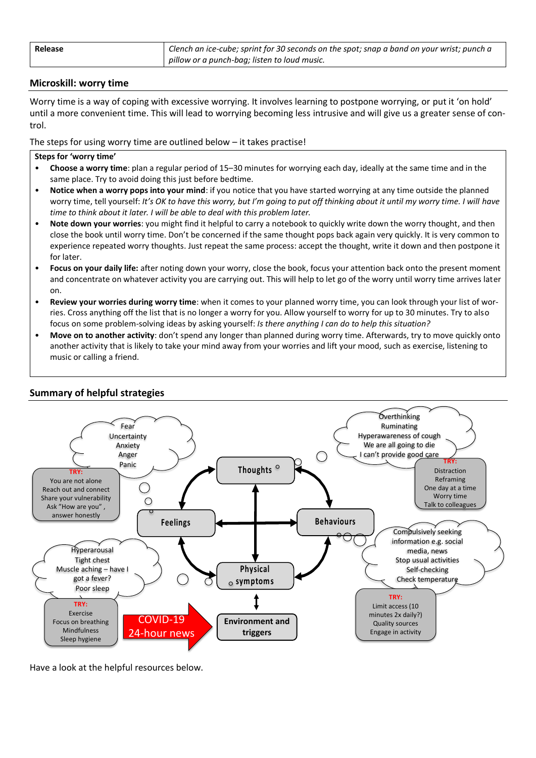| Release | Clench an ice-cube; sprint for 30 seconds on the spot; snap a band on your wrist; punch a |
|---------|-------------------------------------------------------------------------------------------|
|         | pillow or a punch-bag; listen to loud music.                                              |

#### **Microskill: worry time**

Worry time is a way of coping with excessive worrying. It involves learning to postpone worrying, or put it 'on hold' until a more convenient time. This will lead to worrying becoming less intrusive and will give us a greater sense of control.

The steps for using worry time are outlined below – it takes practise!

#### **Steps for 'worry time'**

- **Choose a worry time**: plan a regular period of 15–30 minutes for worrying each day, ideally at the same time and in the same place. Try to avoid doing this just before bedtime.
- **Notice when a worry pops into your mind**: if you notice that you have started worrying at any time outside the planned worry time, tell yourself: *It's OK to have this worry, but I'm going to put off thinking about it until my worry time. I will have time to think about it later. I will be able to deal with this problem later.*
- **Note down your worries**: you might find it helpful to carry a notebook to quickly write down the worry thought, and then close the book until worry time. Don't be concerned if the same thought pops back again very quickly. It is very common to experience repeated worry thoughts. Just repeat the same process: accept the thought, write it down and then postpone it for later.
- **Focus on your daily life:** after noting down your worry, close the book, focus your attention back onto the present moment and concentrate on whatever activity you are carrying out. This will help to let go of the worry until worry time arrives later on.
- **Review your worries during worry time**: when it comes to your planned worry time, you can look through your list of worries. Cross anything off the list that is no longer a worry for you. Allow yourself to worry for up to 30 minutes. Try to also focus on some problem-solving ideas by asking yourself: *Is there anything I can do to help this situation?*
- **Move on to another activity**: don't spend any longer than planned during worry time. Afterwards, try to move quickly onto another activity that is likely to take your mind away from your worries and lift your mood, such as exercise, listening to music or calling a friend.



#### **Summary of helpful strategies**

Have a look at the helpful resources below.